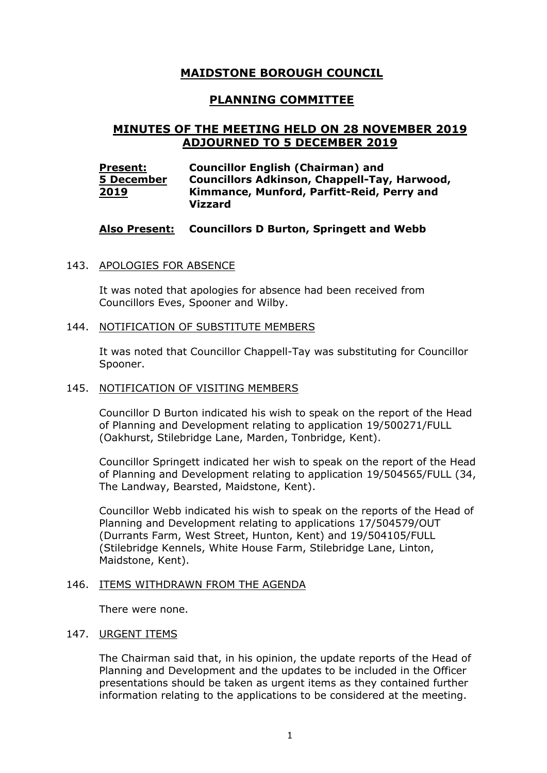# **MAIDSTONE BOROUGH COUNCIL**

## **PLANNING COMMITTEE**

# **MINUTES OF THE MEETING HELD ON 28 NOVEMBER 2019 ADJOURNED TO 5 DECEMBER 2019**

| <b>Present:</b> | <b>Councillor English (Chairman) and</b>            |
|-----------------|-----------------------------------------------------|
| 5 December      | <b>Councillors Adkinson, Chappell-Tay, Harwood,</b> |
| 2019            | Kimmance, Munford, Parfitt-Reid, Perry and          |
|                 | <b>Vizzard</b>                                      |

## **Also Present: Councillors D Burton, Springett and Webb**

## 143. APOLOGIES FOR ABSENCE

It was noted that apologies for absence had been received from Councillors Eves, Spooner and Wilby.

## 144. NOTIFICATION OF SUBSTITUTE MEMBERS

It was noted that Councillor Chappell-Tay was substituting for Councillor Spooner.

## 145. NOTIFICATION OF VISITING MEMBERS

Councillor D Burton indicated his wish to speak on the report of the Head of Planning and Development relating to application 19/500271/FULL (Oakhurst, Stilebridge Lane, Marden, Tonbridge, Kent).

Councillor Springett indicated her wish to speak on the report of the Head of Planning and Development relating to application 19/504565/FULL (34, The Landway, Bearsted, Maidstone, Kent).

Councillor Webb indicated his wish to speak on the reports of the Head of Planning and Development relating to applications 17/504579/OUT (Durrants Farm, West Street, Hunton, Kent) and 19/504105/FULL (Stilebridge Kennels, White House Farm, Stilebridge Lane, Linton, Maidstone, Kent).

## 146. ITEMS WITHDRAWN FROM THE AGENDA

There were none.

## 147. URGENT ITEMS

The Chairman said that, in his opinion, the update reports of the Head of Planning and Development and the updates to be included in the Officer presentations should be taken as urgent items as they contained further information relating to the applications to be considered at the meeting.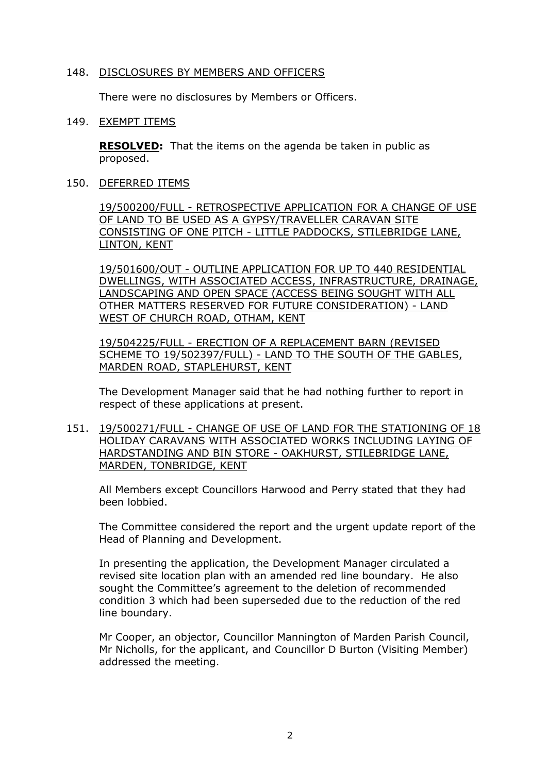## 148. DISCLOSURES BY MEMBERS AND OFFICERS

There were no disclosures by Members or Officers.

#### 149. EXEMPT ITEMS

**RESOLVED:** That the items on the agenda be taken in public as proposed.

150. DEFERRED ITEMS

19/500200/FULL - RETROSPECTIVE APPLICATION FOR A CHANGE OF USE OF LAND TO BE USED AS A GYPSY/TRAVELLER CARAVAN SITE CONSISTING OF ONE PITCH - LITTLE PADDOCKS, STILEBRIDGE LANE, LINTON, KENT

19/501600/OUT - OUTLINE APPLICATION FOR UP TO 440 RESIDENTIAL DWELLINGS, WITH ASSOCIATED ACCESS, INFRASTRUCTURE, DRAINAGE, LANDSCAPING AND OPEN SPACE (ACCESS BEING SOUGHT WITH ALL OTHER MATTERS RESERVED FOR FUTURE CONSIDERATION) - LAND WEST OF CHURCH ROAD, OTHAM, KENT

19/504225/FULL - ERECTION OF A REPLACEMENT BARN (REVISED SCHEME TO 19/502397/FULL) - LAND TO THE SOUTH OF THE GABLES, MARDEN ROAD, STAPLEHURST, KENT

The Development Manager said that he had nothing further to report in respect of these applications at present.

151. 19/500271/FULL - CHANGE OF USE OF LAND FOR THE STATIONING OF 18 HOLIDAY CARAVANS WITH ASSOCIATED WORKS INCLUDING LAYING OF HARDSTANDING AND BIN STORE - OAKHURST, STILEBRIDGE LANE, MARDEN, TONBRIDGE, KENT

All Members except Councillors Harwood and Perry stated that they had been lobbied.

The Committee considered the report and the urgent update report of the Head of Planning and Development.

In presenting the application, the Development Manager circulated a revised site location plan with an amended red line boundary. He also sought the Committee's agreement to the deletion of recommended condition 3 which had been superseded due to the reduction of the red line boundary.

Mr Cooper, an objector, Councillor Mannington of Marden Parish Council, Mr Nicholls, for the applicant, and Councillor D Burton (Visiting Member) addressed the meeting.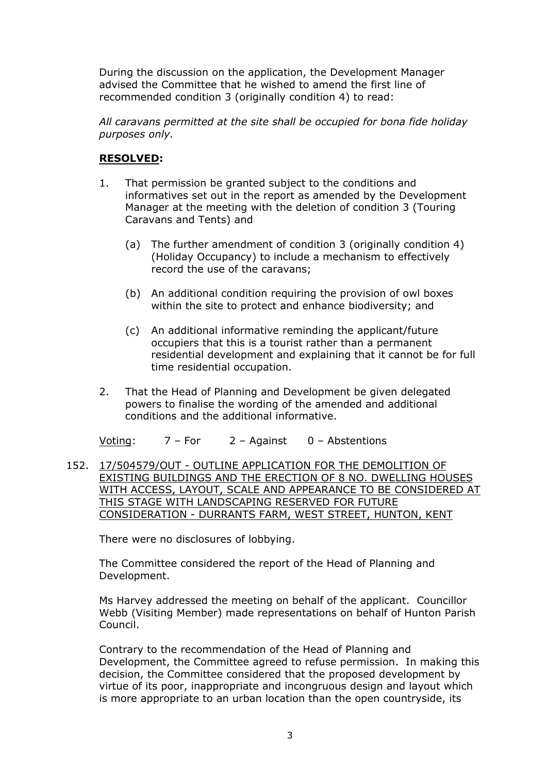During the discussion on the application, the Development Manager advised the Committee that he wished to amend the first line of recommended condition 3 (originally condition 4) to read:

*All caravans permitted at the site shall be occupied for bona fide holiday purposes only.*

## **RESOLVED:**

- 1. That permission be granted subject to the conditions and informatives set out in the report as amended by the Development Manager at the meeting with the deletion of condition 3 (Touring Caravans and Tents) and
	- (a) The further amendment of condition 3 (originally condition 4) (Holiday Occupancy) to include a mechanism to effectively record the use of the caravans;
	- (b) An additional condition requiring the provision of owl boxes within the site to protect and enhance biodiversity; and
	- (c) An additional informative reminding the applicant/future occupiers that this is a tourist rather than a permanent residential development and explaining that it cannot be for full time residential occupation.
- 2. That the Head of Planning and Development be given delegated powers to finalise the wording of the amended and additional conditions and the additional informative.

Voting:  $7 - For$   $2 - A$ gainst  $0 - Ab$ stentions

152. 17/504579/OUT - OUTLINE APPLICATION FOR THE DEMOLITION OF EXISTING BUILDINGS AND THE ERECTION OF 8 NO. DWELLING HOUSES WITH ACCESS, LAYOUT, SCALE AND APPEARANCE TO BE CONSIDERED AT THIS STAGE WITH LANDSCAPING RESERVED FOR FUTURE CONSIDERATION - DURRANTS FARM, WEST STREET, HUNTON, KENT

There were no disclosures of lobbying.

The Committee considered the report of the Head of Planning and Development.

Ms Harvey addressed the meeting on behalf of the applicant. Councillor Webb (Visiting Member) made representations on behalf of Hunton Parish Council.

Contrary to the recommendation of the Head of Planning and Development, the Committee agreed to refuse permission. In making this decision, the Committee considered that the proposed development by virtue of its poor, inappropriate and incongruous design and layout which is more appropriate to an urban location than the open countryside, its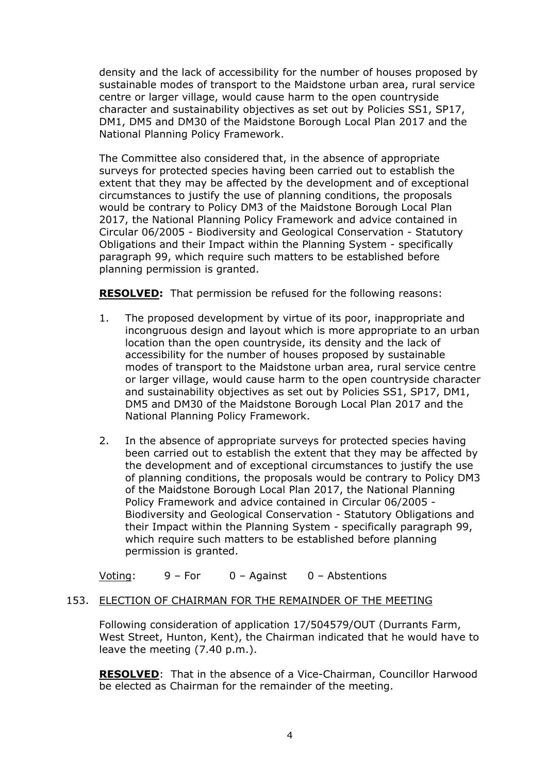density and the lack of accessibility for the number of houses proposed by sustainable modes of transport to the Maidstone urban area, rural service centre or larger village, would cause harm to the open countryside character and sustainability objectives as set out by Policies SS1, SP17, DM1, DM5 and DM30 of the Maidstone Borough Local Plan 2017 and the National Planning Policy Framework.

The Committee also considered that, in the absence of appropriate surveys for protected species having been carried out to establish the extent that they may be affected by the development and of exceptional circumstances to justify the use of planning conditions, the proposals would be contrary to Policy DM3 of the Maidstone Borough Local Plan 2017, the National Planning Policy Framework and advice contained in Circular 06/2005 - Biodiversity and Geological Conservation - Statutory Obligations and their Impact within the Planning System - specifically paragraph 99, which require such matters to be established before planning permission is granted.

**RESOLVED:** That permission be refused for the following reasons:

- 1. The proposed development by virtue of its poor, inappropriate and incongruous design and layout which is more appropriate to an urban location than the open countryside, its density and the lack of accessibility for the number of houses proposed by sustainable modes of transport to the Maidstone urban area, rural service centre or larger village, would cause harm to the open countryside character and sustainability objectives as set out by Policies SS1, SP17, DM1, DM5 and DM30 of the Maidstone Borough Local Plan 2017 and the National Planning Policy Framework.
- 2. In the absence of appropriate surveys for protected species having been carried out to establish the extent that they may be affected by the development and of exceptional circumstances to justify the use of planning conditions, the proposals would be contrary to Policy DM3 of the Maidstone Borough Local Plan 2017, the National Planning Policy Framework and advice contained in Circular 06/2005 - Biodiversity and Geological Conservation - Statutory Obligations and their Impact within the Planning System - specifically paragraph 99, which require such matters to be established before planning permission is granted.

Voting: 9 – For 0 – Against 0 – Abstentions

## 153. ELECTION OF CHAIRMAN FOR THE REMAINDER OF THE MEETING

Following consideration of application 17/504579/OUT (Durrants Farm, West Street, Hunton, Kent), the Chairman indicated that he would have to leave the meeting (7.40 p.m.).

**RESOLVED**: That in the absence of a Vice-Chairman, Councillor Harwood be elected as Chairman for the remainder of the meeting.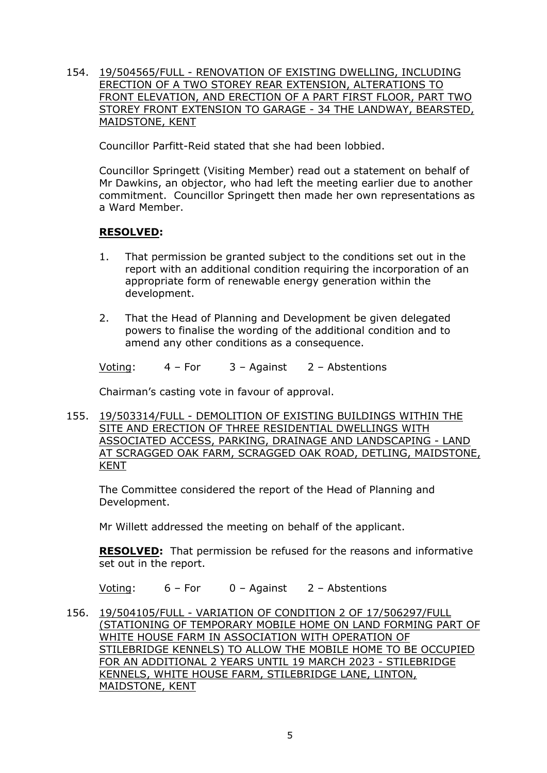154. 19/504565/FULL - RENOVATION OF EXISTING DWELLING, INCLUDING ERECTION OF A TWO STOREY REAR EXTENSION, ALTERATIONS TO FRONT ELEVATION, AND ERECTION OF A PART FIRST FLOOR, PART TWO STOREY FRONT EXTENSION TO GARAGE - 34 THE LANDWAY, BEARSTED, MAIDSTONE, KENT

Councillor Parfitt-Reid stated that she had been lobbied.

Councillor Springett (Visiting Member) read out a statement on behalf of Mr Dawkins, an objector, who had left the meeting earlier due to another commitment. Councillor Springett then made her own representations as a Ward Member.

## **RESOLVED:**

- 1. That permission be granted subject to the conditions set out in the report with an additional condition requiring the incorporation of an appropriate form of renewable energy generation within the development.
- 2. That the Head of Planning and Development be given delegated powers to finalise the wording of the additional condition and to amend any other conditions as a consequence.

Voting: 4 – For 3 – Against 2 – Abstentions

Chairman's casting vote in favour of approval.

155. 19/503314/FULL - DEMOLITION OF EXISTING BUILDINGS WITHIN THE SITE AND ERECTION OF THREE RESIDENTIAL DWELLINGS WITH ASSOCIATED ACCESS, PARKING, DRAINAGE AND LANDSCAPING - LAND AT SCRAGGED OAK FARM, SCRAGGED OAK ROAD, DETLING, MAIDSTONE, KENT

The Committee considered the report of the Head of Planning and Development.

Mr Willett addressed the meeting on behalf of the applicant.

**RESOLVED:** That permission be refused for the reasons and informative set out in the report.

Voting: 6 – For 0 – Against 2 – Abstentions

156. 19/504105/FULL - VARIATION OF CONDITION 2 OF 17/506297/FULL (STATIONING OF TEMPORARY MOBILE HOME ON LAND FORMING PART OF WHITE HOUSE FARM IN ASSOCIATION WITH OPERATION OF STILEBRIDGE KENNELS) TO ALLOW THE MOBILE HOME TO BE OCCUPIED FOR AN ADDITIONAL 2 YEARS UNTIL 19 MARCH 2023 - STILEBRIDGE KENNELS, WHITE HOUSE FARM, STILEBRIDGE LANE, LINTON, MAIDSTONE, KENT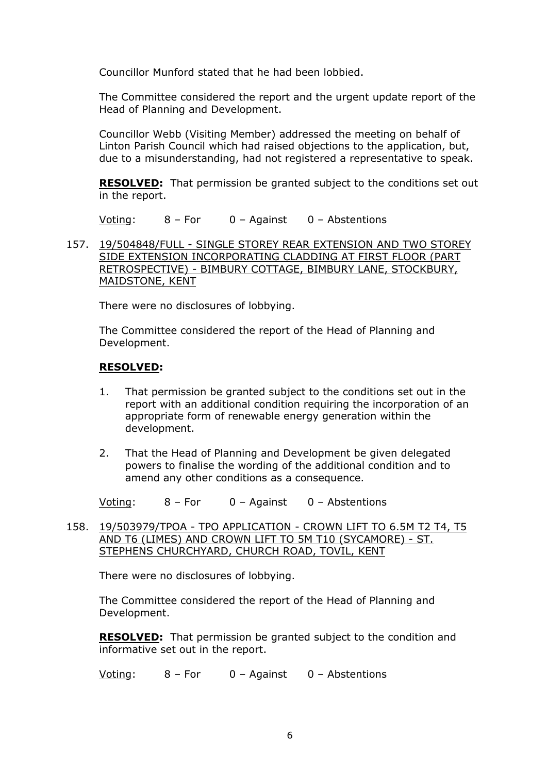Councillor Munford stated that he had been lobbied.

The Committee considered the report and the urgent update report of the Head of Planning and Development.

Councillor Webb (Visiting Member) addressed the meeting on behalf of Linton Parish Council which had raised objections to the application, but, due to a misunderstanding, had not registered a representative to speak.

**RESOLVED:** That permission be granted subject to the conditions set out in the report.

Voting: 8 – For 0 – Against 0 – Abstentions

157. 19/504848/FULL - SINGLE STOREY REAR EXTENSION AND TWO STOREY SIDE EXTENSION INCORPORATING CLADDING AT FIRST FLOOR (PART RETROSPECTIVE) - BIMBURY COTTAGE, BIMBURY LANE, STOCKBURY, MAIDSTONE, KENT

There were no disclosures of lobbying.

The Committee considered the report of the Head of Planning and Development.

## **RESOLVED:**

- 1. That permission be granted subject to the conditions set out in the report with an additional condition requiring the incorporation of an appropriate form of renewable energy generation within the development.
- 2. That the Head of Planning and Development be given delegated powers to finalise the wording of the additional condition and to amend any other conditions as a consequence.

Voting: 8 – For 0 – Against 0 – Abstentions

158. 19/503979/TPOA - TPO APPLICATION - CROWN LIFT TO 6.5M T2 T4, T5 AND T6 (LIMES) AND CROWN LIFT TO 5M T10 (SYCAMORE) - ST. STEPHENS CHURCHYARD, CHURCH ROAD, TOVIL, KENT

There were no disclosures of lobbying.

The Committee considered the report of the Head of Planning and Development.

**RESOLVED:** That permission be granted subject to the condition and informative set out in the report.

Voting: 8 – For 0 – Against 0 – Abstentions